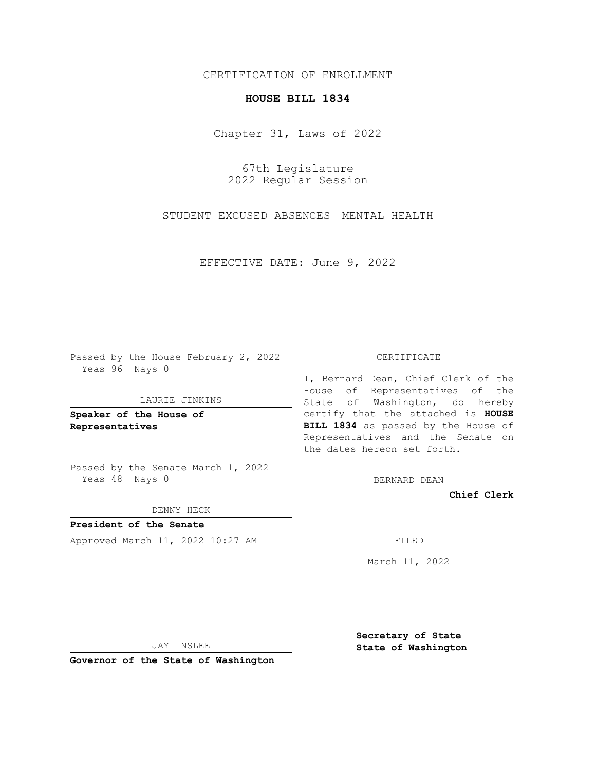# CERTIFICATION OF ENROLLMENT

## **HOUSE BILL 1834**

Chapter 31, Laws of 2022

67th Legislature 2022 Regular Session

STUDENT EXCUSED ABSENCES—MENTAL HEALTH

EFFECTIVE DATE: June 9, 2022

Passed by the House February 2, 2022 Yeas 96 Nays 0

### LAURIE JINKINS

**Speaker of the House of Representatives**

Passed by the Senate March 1, 2022 Yeas 48 Nays 0

DENNY HECK

**President of the Senate** Approved March 11, 2022 10:27 AM FILED

#### CERTIFICATE

I, Bernard Dean, Chief Clerk of the House of Representatives of the State of Washington, do hereby certify that the attached is **HOUSE BILL 1834** as passed by the House of Representatives and the Senate on the dates hereon set forth.

BERNARD DEAN

**Chief Clerk**

March 11, 2022

JAY INSLEE

**Governor of the State of Washington**

**Secretary of State State of Washington**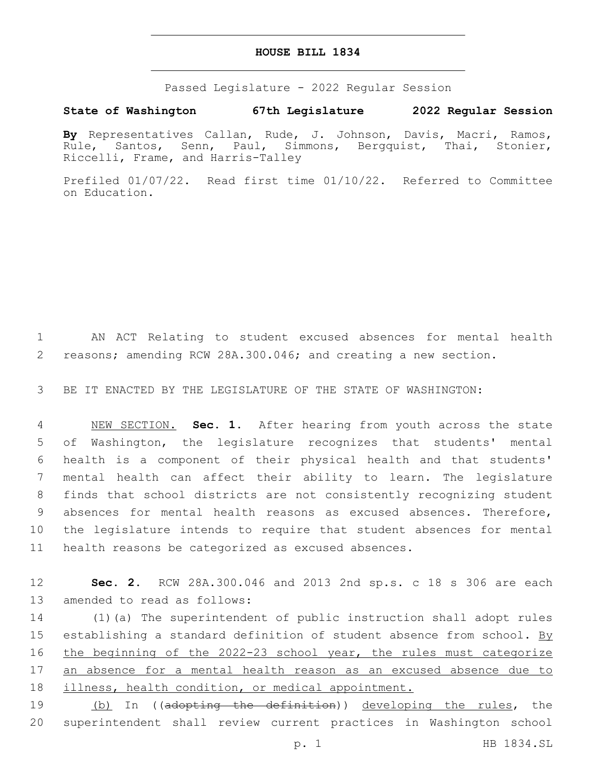## **HOUSE BILL 1834**

Passed Legislature - 2022 Regular Session

# **State of Washington 67th Legislature 2022 Regular Session**

**By** Representatives Callan, Rude, J. Johnson, Davis, Macri, Ramos, Rule, Santos, Senn, Paul, Simmons, Bergquist, Thai, Stonier, Riccelli, Frame, and Harris-Talley

Prefiled 01/07/22. Read first time 01/10/22. Referred to Committee on Education.

1 AN ACT Relating to student excused absences for mental health 2 reasons; amending RCW 28A.300.046; and creating a new section.

3 BE IT ENACTED BY THE LEGISLATURE OF THE STATE OF WASHINGTON:

 NEW SECTION. **Sec. 1.** After hearing from youth across the state of Washington, the legislature recognizes that students' mental health is a component of their physical health and that students' mental health can affect their ability to learn. The legislature finds that school districts are not consistently recognizing student absences for mental health reasons as excused absences. Therefore, the legislature intends to require that student absences for mental health reasons be categorized as excused absences.

12 **Sec. 2.** RCW 28A.300.046 and 2013 2nd sp.s. c 18 s 306 are each 13 amended to read as follows:

14 (1)(a) The superintendent of public instruction shall adopt rules 15 establishing a standard definition of student absence from school. By 16 the beginning of the 2022-23 school year, the rules must categorize 17 an absence for a mental health reason as an excused absence due to 18 illness, health condition, or medical appointment.

19 (b) In ((adopting the definition)) developing the rules, the 20 superintendent shall review current practices in Washington school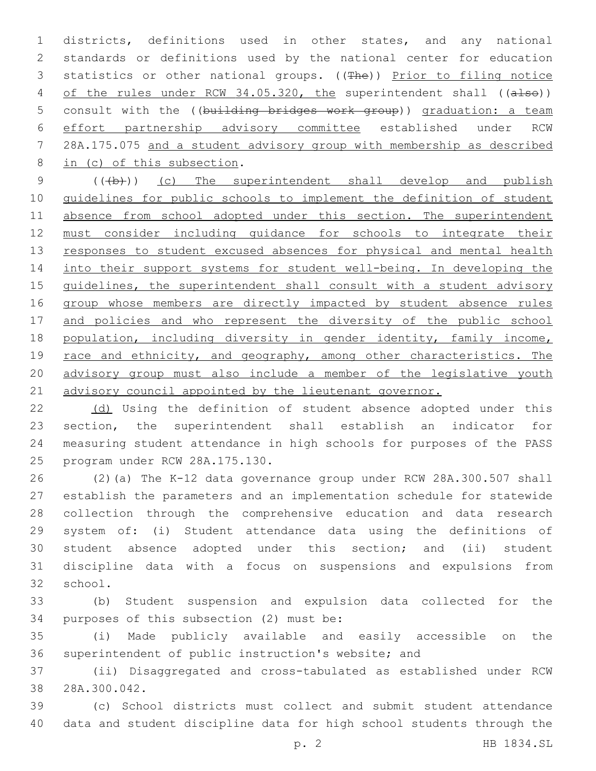1 districts, definitions used in other states, and any national 2 standards or definitions used by the national center for education 3 statistics or other national groups. ((The)) Prior to filing notice 4 of the rules under RCW 34.05.320, the superintendent shall ((also)) 5 consult with the ((building bridges work group)) graduation: a team 6 effort partnership advisory committee established under RCW 7 28A.175.075 and a student advisory group with membership as described 8 in (c) of this subsection.

9 (((b))) (c) The superintendent shall develop and publish 10 guidelines for public schools to implement the definition of student 11 absence from school adopted under this section. The superintendent 12 must consider including guidance for schools to integrate their 13 responses to student excused absences for physical and mental health 14 into their support systems for student well-being. In developing the 15 guidelines, the superintendent shall consult with a student advisory 16 group whose members are directly impacted by student absence rules 17 and policies and who represent the diversity of the public school 18 population, including diversity in gender identity, family income, 19 race and ethnicity, and geography, among other characteristics. The 20 advisory group must also include a member of the legislative youth 21 advisory council appointed by the lieutenant governor.

 (d) Using the definition of student absence adopted under this section, the superintendent shall establish an indicator for measuring student attendance in high schools for purposes of the PASS 25 program under RCW 28A.175.130.

 (2)(a) The K-12 data governance group under RCW 28A.300.507 shall establish the parameters and an implementation schedule for statewide collection through the comprehensive education and data research system of: (i) Student attendance data using the definitions of student absence adopted under this section; and (ii) student discipline data with a focus on suspensions and expulsions from 32 school.

33 (b) Student suspension and expulsion data collected for the 34 purposes of this subsection (2) must be:

35 (i) Made publicly available and easily accessible on the 36 superintendent of public instruction's website; and

37 (ii) Disaggregated and cross-tabulated as established under RCW 38 28A.300.042.

39 (c) School districts must collect and submit student attendance 40 data and student discipline data for high school students through the

p. 2 HB 1834.SL